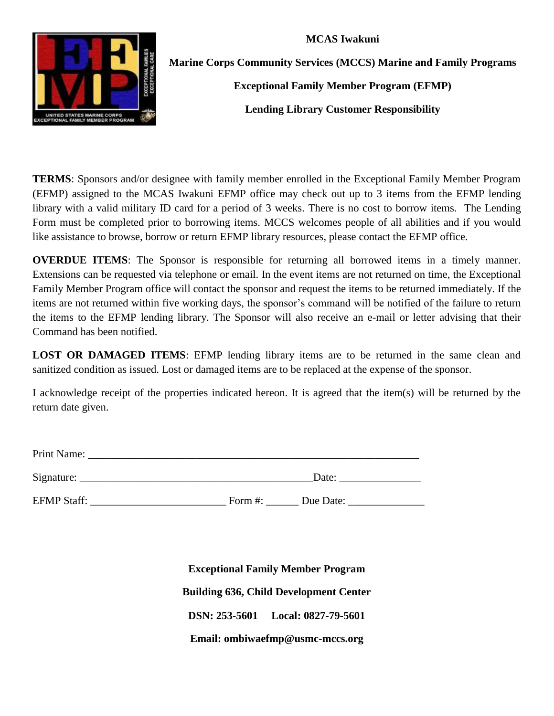**MCAS Iwakuni**



**Marine Corps Community Services (MCCS) Marine and Family Programs**

**Exceptional Family Member Program (EFMP)**

**Lending Library Customer Responsibility**

**TERMS**: Sponsors and/or designee with family member enrolled in the Exceptional Family Member Program (EFMP) assigned to the MCAS Iwakuni EFMP office may check out up to 3 items from the EFMP lending library with a valid military ID card for a period of 3 weeks. There is no cost to borrow items. The Lending Form must be completed prior to borrowing items. MCCS welcomes people of all abilities and if you would like assistance to browse, borrow or return EFMP library resources, please contact the EFMP office.

**OVERDUE ITEMS**: The Sponsor is responsible for returning all borrowed items in a timely manner. Extensions can be requested via telephone or email. In the event items are not returned on time, the Exceptional Family Member Program office will contact the sponsor and request the items to be returned immediately. If the items are not returned within five working days, the sponsor's command will be notified of the failure to return the items to the EFMP lending library. The Sponsor will also receive an e-mail or letter advising that their Command has been notified.

**LOST OR DAMAGED ITEMS**: EFMP lending library items are to be returned in the same clean and sanitized condition as issued. Lost or damaged items are to be replaced at the expense of the sponsor.

I acknowledge receipt of the properties indicated hereon. It is agreed that the item(s) will be returned by the return date given.

| Print Name: |       |
|-------------|-------|
| Signature:  | Date: |

EFMP Staff: The Staff: The Staff: EFMP Staff:  $\frac{1}{2}$  Form #:  $\frac{1}{2}$  Due Date:

**Exceptional Family Member Program Building 636, Child Development Center DSN: 253-5601 Local: 0827-79-5601 Email: ombiwaefmp@usmc-mccs.org**